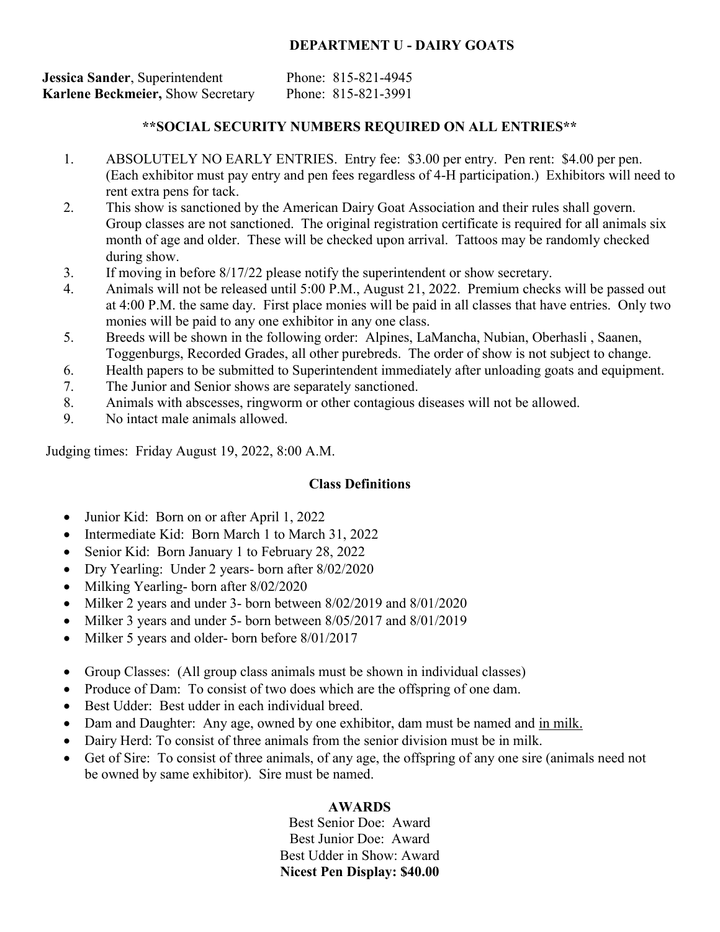# **DEPARTMENT U - DAIRY GOATS**

| Jessica Sander, Superintendent           | Phone: 815-821-4945 |
|------------------------------------------|---------------------|
| <b>Karlene Beckmeier, Show Secretary</b> | Phone: 815-821-3991 |

# **\*\*SOCIAL SECURITY NUMBERS REQUIRED ON ALL ENTRIES\*\***

- 1. ABSOLUTELY NO EARLY ENTRIES. Entry fee: \$3.00 per entry. Pen rent: \$4.00 per pen. (Each exhibitor must pay entry and pen fees regardless of 4-H participation.) Exhibitors will need to rent extra pens for tack.
- 2. This show is sanctioned by the American Dairy Goat Association and their rules shall govern. Group classes are not sanctioned. The original registration certificate is required for all animals six month of age and older. These will be checked upon arrival. Tattoos may be randomly checked during show.
- 3. If moving in before 8/17/22 please notify the superintendent or show secretary.
- 4. Animals will not be released until 5:00 P.M., August 21, 2022. Premium checks will be passed out at 4:00 P.M. the same day. First place monies will be paid in all classes that have entries. Only two monies will be paid to any one exhibitor in any one class.
- 5. Breeds will be shown in the following order: Alpines, LaMancha, Nubian, Oberhasli , Saanen, Toggenburgs, Recorded Grades, all other purebreds. The order of show is not subject to change.
- 6. Health papers to be submitted to Superintendent immediately after unloading goats and equipment.
- 7. The Junior and Senior shows are separately sanctioned.
- 8. Animals with abscesses, ringworm or other contagious diseases will not be allowed.
- 9. No intact male animals allowed.

Judging times: Friday August 19, 2022, 8:00 A.M.

# **Class Definitions**

- Junior Kid: Born on or after April 1, 2022
- Intermediate Kid: Born March 1 to March 31, 2022
- Senior Kid: Born January 1 to February 28, 2022
- Dry Yearling: Under 2 years- born after 8/02/2020
- Milking Yearling- born after 8/02/2020
- Milker 2 years and under 3- born between 8/02/2019 and 8/01/2020
- Milker 3 years and under 5- born between 8/05/2017 and 8/01/2019
- Milker 5 years and older- born before 8/01/2017
- Group Classes: (All group class animals must be shown in individual classes)
- Produce of Dam: To consist of two does which are the offspring of one dam.
- Best Udder: Best udder in each individual breed.
- Dam and Daughter: Any age, owned by one exhibitor, dam must be named and in milk.
- Dairy Herd: To consist of three animals from the senior division must be in milk.
- Get of Sire: To consist of three animals, of any age, the offspring of any one sire (animals need not be owned by same exhibitor). Sire must be named.

# **AWARDS**

Best Senior Doe: Award Best Junior Doe: Award Best Udder in Show: Award **Nicest Pen Display: \$40.00**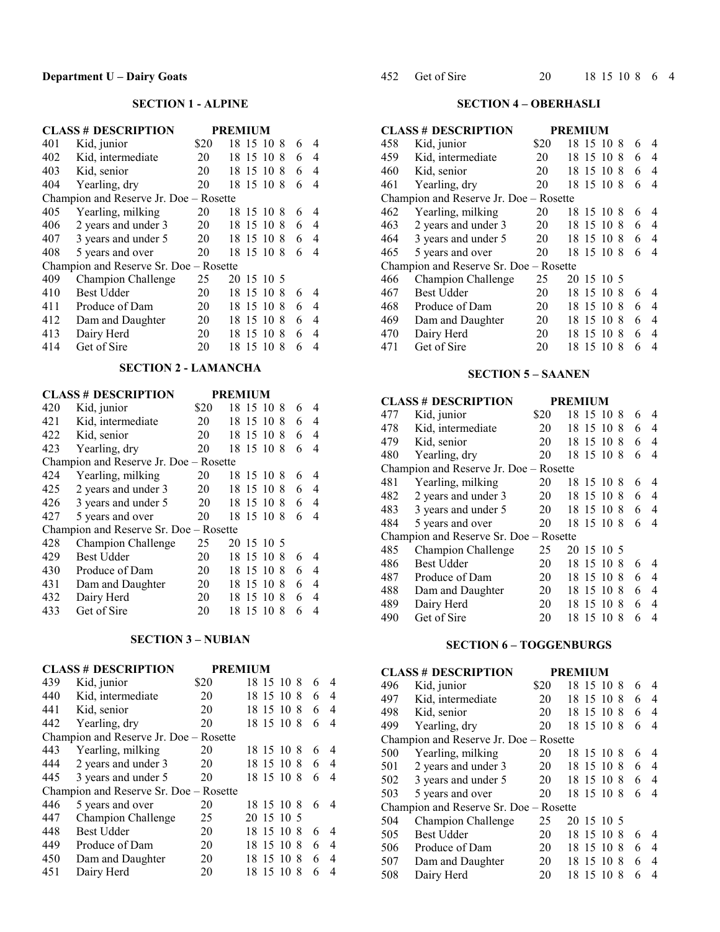## **SECTION 1 - ALPINE**

|     | <b>CLASS # DESCRIPTION</b>             |      | <b>PREMIUM</b> |    |   |                |  |
|-----|----------------------------------------|------|----------------|----|---|----------------|--|
| 401 | Kid, junior                            | \$20 | 18 15 10 8     |    | 6 | 4              |  |
| 402 | Kid, intermediate                      | 20   | 15 10 8<br>18  |    | 6 | 4              |  |
| 403 | Kid, senior                            | 20   | 18 15 10       | -8 | 6 | 4              |  |
| 404 | Yearling, dry                          | 20   | 18 15 10 8     |    | 6 | $\overline{4}$ |  |
|     | Champion and Reserve Jr. Doe - Rosette |      |                |    |   |                |  |
| 405 | Yearling, milking                      | 20   | 15 10 8<br>18  |    | 6 | 4              |  |
| 406 | 2 years and under 3                    | 20   | 18<br>15 10 8  |    | 6 | 4              |  |
| 407 | 3 years and under 5                    | 20   | 18 15 10 8     |    | 6 | 4              |  |
| 408 | 5 years and over                       | 20   | 18 15 10 8     |    | 6 | 4              |  |
|     | Champion and Reserve Sr. Doe - Rosette |      |                |    |   |                |  |
| 409 | Champion Challenge                     | 25   | 20 15 10 5     |    |   |                |  |
| 410 | <b>Best Udder</b>                      | 20   | 15 10 8<br>18  |    | 6 | 4              |  |
| 411 | Produce of Dam                         | 20   | 18 15 10 8     |    | 6 | 4              |  |
| 412 | Dam and Daughter                       | 20   | 15 10 8<br>18  |    | 6 | 4              |  |
| 413 | Dairy Herd                             | 20   | 18 15 10 8     |    | 6 | 4              |  |
| 414 | Get of Sire                            | 20   | 18<br>15 10    | 8  | 6 | 4              |  |
|     |                                        |      |                |    |   |                |  |

## **SECTION 2 - LAMANCHA**

|     | <b>CLASS # DESCRIPTION</b>             |      | <b>PREMIUM</b> |            |   |                |  |
|-----|----------------------------------------|------|----------------|------------|---|----------------|--|
| 420 | Kid, junior                            | \$20 | 18 15 10 8     |            | 6 | 4              |  |
| 421 | Kid, intermediate                      | 20   | 18 15 10 8     |            | 6 | 4              |  |
| 422 | Kid, senior                            | 20   | 18 15 10 8     |            | 6 | 4              |  |
| 423 | Yearling, dry                          | 20   | 18 15 10 8     |            | 6 | 4              |  |
|     | Champion and Reserve Jr. Doe - Rosette |      |                |            |   |                |  |
| 424 | Yearling, milking                      | 20   | 18 15 10 8     |            | 6 | 4              |  |
| 425 | 2 years and under 3                    | 20   | 18 15 10 8     |            | 6 | 4              |  |
| 426 | 3 years and under 5                    | 20   | 18 15 10 8     |            | 6 | 4              |  |
| 427 | 5 years and over                       | 20   | 18 15 10 8     |            | 6 | $\overline{4}$ |  |
|     | Champion and Reserve Sr. Doe - Rosette |      |                |            |   |                |  |
| 428 | Champion Challenge                     | 25   | 20 15 10 5     |            |   |                |  |
| 429 | <b>Best Udder</b>                      | 20   | 18 15 10 8     |            | 6 | 4              |  |
| 430 | Produce of Dam                         | 20   | 18 15 10 8     |            | 6 | 4              |  |
| 431 | Dam and Daughter                       | 20   | 18 15 10 8     |            | 6 | 4              |  |
| 432 | Dairy Herd                             | 20   | 18             | 15 10<br>8 | 6 | 4              |  |
| 433 | Get of Sire                            | 20   | 18 15 10       | -8         | 6 | 4              |  |

## **SECTION 3 – NUBIAN**

|     | <b>CLASS # DESCRIPTION</b>             | <b>PREMIUM</b> |            |    |   |                |
|-----|----------------------------------------|----------------|------------|----|---|----------------|
| 439 | Kid, junior                            | \$20           | 18 15 10 8 |    | 6 | 4              |
| 440 | Kid, intermediate                      | 20             | 18 15 10 8 |    | 6 | $\overline{4}$ |
| 441 | Kid, senior                            | 20             | 18 15 10 8 |    | 6 | $\overline{4}$ |
| 442 | Yearling, dry                          | 20             | 18 15 10 8 |    | 6 | 4              |
|     | Champion and Reserve Jr. Doe - Rosette |                |            |    |   |                |
| 443 | Yearling, milking                      | 20             | 18 15 10 8 |    | 6 | 4              |
| 444 | 2 years and under 3                    | 20             | 18 15 10 8 |    | 6 | 4              |
| 445 | 3 years and under 5                    | 20             | 18 15 10 8 |    | 6 | 4              |
|     | Champion and Reserve Sr. Doe - Rosette |                |            |    |   |                |
| 446 | 5 years and over                       | 20             | 18 15 10 8 |    | 6 | 4              |
| 447 | Champion Challenge                     | 25             | 20 15 10 5 |    |   |                |
| 448 | <b>Best Udder</b>                      | 20             | 18 15 10 8 |    | 6 | 4              |
| 449 | Produce of Dam                         | 20             | 18 15 10 8 |    | 6 | 4              |
| 450 | Dam and Daughter                       | 20             | 18 15 10   | -8 | 6 | $\overline{4}$ |
| 451 | Dairy Herd                             | 20             | 18 15 10   | -8 | 6 | 4              |

#### **SECTION 4 – OBERHASLI**

|     | <b>CLASS # DESCRIPTION</b>             |      | <b>PREMIUM</b> |    |   |   |
|-----|----------------------------------------|------|----------------|----|---|---|
| 458 | Kid, junior                            | \$20 | 18 15 10 8     |    | 6 | 4 |
| 459 | Kid, intermediate                      | 20   | 18 15 10 8     |    | 6 | 4 |
| 460 | Kid, senior                            | 20   | 18 15 10       | -8 | 6 | 4 |
| 461 | Yearling, dry                          | 20   | 18 15 10       | -8 | 6 | 4 |
|     | Champion and Reserve Jr. Doe - Rosette |      |                |    |   |   |
| 462 | Yearling, milking                      | 20   | 18 15 10       | -8 | 6 | 4 |
| 463 | 2 years and under 3                    | 20   | 18 15 10 8     |    | 6 | 4 |
| 464 | 3 years and under 5                    | 20   | 18 15 10 8     |    | 6 | 4 |
| 465 | 5 years and over                       | 20   | 18 15 10 8     |    | 6 | 4 |
|     | Champion and Reserve Sr. Doe - Rosette |      |                |    |   |   |
| 466 | Champion Challenge                     | 25   | 20 15 10 5     |    |   |   |
| 467 | <b>Best Udder</b>                      | 20   | 18 15 10 8     |    | 6 | 4 |
| 468 | Produce of Dam                         | 20   | 15 10 8<br>18  |    | 6 | 4 |
| 469 | Dam and Daughter                       | 20   | 18 15 10 8     |    | 6 | 4 |
| 470 | Dairy Herd                             | 20   | 15 10<br>18    | -8 | 6 | 4 |
| 471 | Get of Sire                            | 20   | 18 15 10       | -8 | 6 | 4 |

### **SECTION 5 – SAANEN**

## **CLASS # DESCRIPTION PREMIUM**

| 477                                                                                                                               | Kid, junior                            | \$20 |    | 18 15 10 8 |    | 6 | 4 |
|-----------------------------------------------------------------------------------------------------------------------------------|----------------------------------------|------|----|------------|----|---|---|
| 478                                                                                                                               | Kid, intermediate                      | 20   |    | 18 15 10 8 |    | 6 | 4 |
| 479                                                                                                                               | Kid, senior                            | 20   |    | 18 15 10 8 |    | 6 | 4 |
| 480                                                                                                                               | Yearling, dry                          | 20   |    | 18 15 10 8 |    | 6 | 4 |
|                                                                                                                                   | Champion and Reserve Jr. Doe - Rosette |      |    |            |    |   |   |
| 481                                                                                                                               | Yearling, milking                      | 20   |    | 18 15 10 8 |    | 6 | 4 |
| 482                                                                                                                               | 2 years and under 3                    | 20   |    |            |    | 6 | 4 |
| 483                                                                                                                               | 3 years and under 5                    | 20   |    |            |    | 6 | 4 |
| 484                                                                                                                               | 5 years and over                       | 20   |    |            |    | 6 | 4 |
| 18 15 10 8<br>18 15 10 8<br>18 15 10 8<br>Champion and Reserve Sr. Doe - Rosette<br>485<br>Champion Challenge<br>25<br>20 15 10 5 |                                        |      |    |            |    |   |   |
|                                                                                                                                   |                                        |      |    |            |    |   |   |
| 486                                                                                                                               | <b>Best Udder</b>                      | 20   |    | 18 15 10 8 |    | 6 | 4 |
| 487                                                                                                                               | Produce of Dam                         | 20   |    | 18 15 10 8 |    | 6 | 4 |
| 488                                                                                                                               | Dam and Daughter                       | 20   | 18 | 15 10 8    |    | 6 | 4 |
| 489                                                                                                                               | Dairy Herd                             | 20   |    | 18 15 10   | -8 | 6 | 4 |
| 490                                                                                                                               | Get of Sire                            | 20   |    | 18 15 10   | -8 | 6 | 4 |

## **SECTION 6 – TOGGENBURGS**

|     | <b>CLASS # DESCRIPTION</b>             |      | <b>PREMIUM</b> |   |   |
|-----|----------------------------------------|------|----------------|---|---|
| 496 | Kid, junior                            | \$20 | 18 15 10 8     | 6 | 4 |
| 497 | Kid, intermediate                      | 20   | 18 15 10 8     | 6 | 4 |
| 498 | Kid, senior                            | 20   | 18 15 10 8     | 6 | 4 |
| 499 | Yearling, dry                          | 20   | 18 15 10 8     | 6 | 4 |
|     | Champion and Reserve Jr. Doe - Rosette |      |                |   |   |
| 500 | Yearling, milking                      | 20   | 18 15 10 8     | 6 | 4 |
| 501 | 2 years and under 3                    | 20   | 18 15 10 8     | 6 | 4 |
| 502 | 3 years and under 5                    | 20   | 18 15 10 8     | 6 | 4 |
| 503 | 5 years and over                       | 20   | 18 15 10 8     | 6 | 4 |
|     | Champion and Reserve Sr. Doe - Rosette |      |                |   |   |
| 504 | Champion Challenge                     | 25   | 15 10 5<br>20  |   |   |
| 505 | <b>Best Udder</b>                      | 20   | 18 15 10 8     | 6 | 4 |
| 506 | Produce of Dam                         | 20   | 18 15 10 8     | 6 | 4 |
| 507 | Dam and Daughter                       | 20   | 15 10 8<br>18  | 6 | 4 |
| 508 | Dairy Herd                             | 20   | 18 15 10 8     | 6 | 4 |
|     |                                        |      |                |   |   |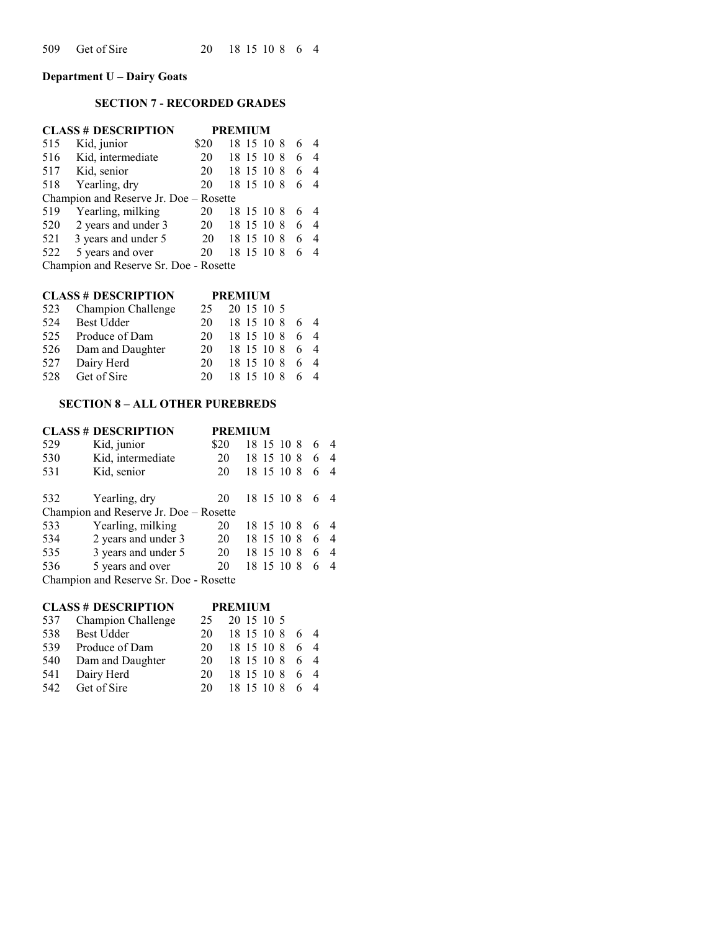**Department U – Dairy Goats**

## **SECTION 7 - RECORDED GRADES**

|     | <b>CLASS # DESCRIPTION</b>             |      | <b>PREMIUM</b> |   |                |
|-----|----------------------------------------|------|----------------|---|----------------|
| 515 | Kid, junior                            | \$20 | 18 15 10 8     | 6 |                |
| 516 | Kid, intermediate                      | 20   | 18 15 10 8     | 6 | $\overline{4}$ |
|     | 517 Kid, senior                        | 20   | 18 15 10 8     | 6 |                |
|     | 518 Yearling, dry                      | 20   | 18 15 10 8     | 6 |                |
|     | Champion and Reserve Jr. Doe - Rosette |      |                |   |                |
| 519 | Yearling, milking                      | 20   | 18 15 10 8     | 6 |                |
|     | 520 2 years and under 3                | 20   | 18 15 10 8     | 6 | 4              |
|     | 521 3 years and under 5                | 20   | 18 15 10 8     | 6 | 4              |
| 522 | 5 years and over                       | 20   | 18 15 10 8     | 6 |                |
|     | Champion and Reserve Sr. Doe - Rosette |      |                |   |                |

#### **CLASS # DESCRIPTION PREMIUM**

|     | 523 Champion Challenge | 25. | 20 15 10 5     |    |
|-----|------------------------|-----|----------------|----|
| 524 | <b>Best Udder</b>      | 20  | 18 15 10 8 6 4 |    |
| 525 | Produce of Dam         | 20. | 18 15 10 8     | 64 |
|     | 526 Dam and Daughter   | 20  | 18 15 10 8 6 4 |    |
| 527 | Dairy Herd             | 20. | 18 15 10 8     | 64 |
| 528 | Get of Sire            | 20. | 18 15 10 8     |    |

## **SECTION 8 – ALL OTHER PUREBREDS**

|     | <b>CLASS # DESCRIPTION</b>             | <b>PREMIUM</b> |  |              |   |                |
|-----|----------------------------------------|----------------|--|--------------|---|----------------|
| 529 | Kid, junior                            | \$20           |  | 18 15 10 8   | 6 |                |
| 530 | Kid, intermediate                      | 20             |  | 18 15 10 8   | 6 | $\overline{4}$ |
| 531 | Kid, senior                            | 20             |  | 18 15 10 8   | 6 | -4             |
|     |                                        |                |  |              |   |                |
| 532 | Yearling, dry                          | 20             |  | 18 15 10 8 6 |   |                |
|     | Champion and Reserve Jr. Doe - Rosette |                |  |              |   |                |
| 533 | Yearling, milking                      | 20             |  | 18 15 10 8   | 6 |                |
| 534 | 2 years and under 3                    | 20             |  | 18 15 10 8   | 6 | $\overline{4}$ |
| 535 | 3 years and under 5                    | 20             |  | 18 15 10 8   | 6 | $\overline{4}$ |
| 536 | 5 years and over                       | 20             |  | 18 15 10 8   | 6 |                |
|     | Champion and Reserve Sr. Doe - Rosette |                |  |              |   |                |

|     | <b>CLASS # DESCRIPTION</b> |     | <b>PREMIUM</b> |    |                |
|-----|----------------------------|-----|----------------|----|----------------|
| 537 | Champion Challenge         | 25. | 20 15 10 5     |    |                |
| 538 | <b>Best Udder</b>          | 20  | 18 15 10 8     |    | $\overline{4}$ |
| 539 | Produce of Dam             | 20  | 18 15 10 8     | 6  | $\overline{4}$ |
|     | 540 Dam and Daughter       | 20  | 18 15 10 8     | 6  | $\overline{4}$ |
| 541 | Dairy Herd                 | 20. | 18 15 10 8     | 64 |                |
| 542 | Get of Sire                | 20. | 18 15 10 8     |    |                |